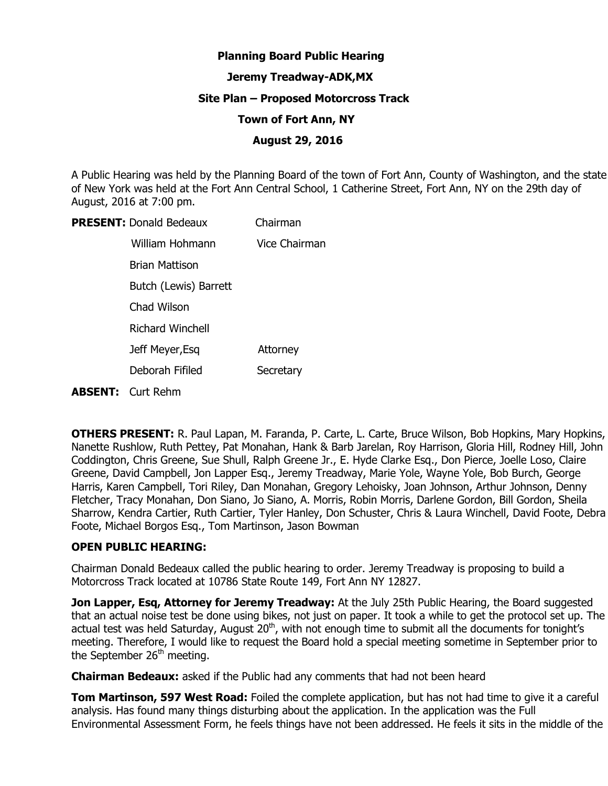# **Planning Board Public Hearing**

## **Jeremy Treadway-ADK,MX**

### **Site Plan – Proposed Motorcross Track**

#### **Town of Fort Ann, NY**

### **August 29, 2016**

A Public Hearing was held by the Planning Board of the town of Fort Ann, County of Washington, and the state of New York was held at the Fort Ann Central School, 1 Catherine Street, Fort Ann, NY on the 29th day of August, 2016 at 7:00 pm.

| <b>PRESENT: Donald Bedeaux</b> | Chairman      |
|--------------------------------|---------------|
| William Hohmann                | Vice Chairman |
| Brian Mattison                 |               |
| Butch (Lewis) Barrett          |               |
| Chad Wilson                    |               |
| <b>Richard Winchell</b>        |               |
| Jeff Meyer, Esq                | Attorney      |
| Deborah Fifiled                | Secretary     |
| <b>ABSENT:</b> Curt Rehm       |               |

**OTHERS PRESENT:** R. Paul Lapan, M. Faranda, P. Carte, L. Carte, Bruce Wilson, Bob Hopkins, Mary Hopkins, Nanette Rushlow, Ruth Pettey, Pat Monahan, Hank & Barb Jarelan, Roy Harrison, Gloria Hill, Rodney Hill, John Coddington, Chris Greene, Sue Shull, Ralph Greene Jr., E. Hyde Clarke Esq., Don Pierce, Joelle Loso, Claire Greene, David Campbell, Jon Lapper Esq., Jeremy Treadway, Marie Yole, Wayne Yole, Bob Burch, George Harris, Karen Campbell, Tori Riley, Dan Monahan, Gregory Lehoisky, Joan Johnson, Arthur Johnson, Denny Fletcher, Tracy Monahan, Don Siano, Jo Siano, A. Morris, Robin Morris, Darlene Gordon, Bill Gordon, Sheila Sharrow, Kendra Cartier, Ruth Cartier, Tyler Hanley, Don Schuster, Chris & Laura Winchell, David Foote, Debra Foote, Michael Borgos Esq., Tom Martinson, Jason Bowman

# **OPEN PUBLIC HEARING:**

Chairman Donald Bedeaux called the public hearing to order. Jeremy Treadway is proposing to build a Motorcross Track located at 10786 State Route 149, Fort Ann NY 12827.

**Jon Lapper, Esq, Attorney for Jeremy Treadway:** At the July 25th Public Hearing, the Board suggested that an actual noise test be done using bikes, not just on paper. It took a while to get the protocol set up. The actual test was held Saturday, August  $20<sup>th</sup>$ , with not enough time to submit all the documents for tonight's meeting. Therefore, I would like to request the Board hold a special meeting sometime in September prior to the September  $26<sup>th</sup>$  meeting.

**Chairman Bedeaux:** asked if the Public had any comments that had not been heard

**Tom Martinson, 597 West Road:** Foiled the complete application, but has not had time to give it a careful analysis. Has found many things disturbing about the application. In the application was the Full Environmental Assessment Form, he feels things have not been addressed. He feels it sits in the middle of the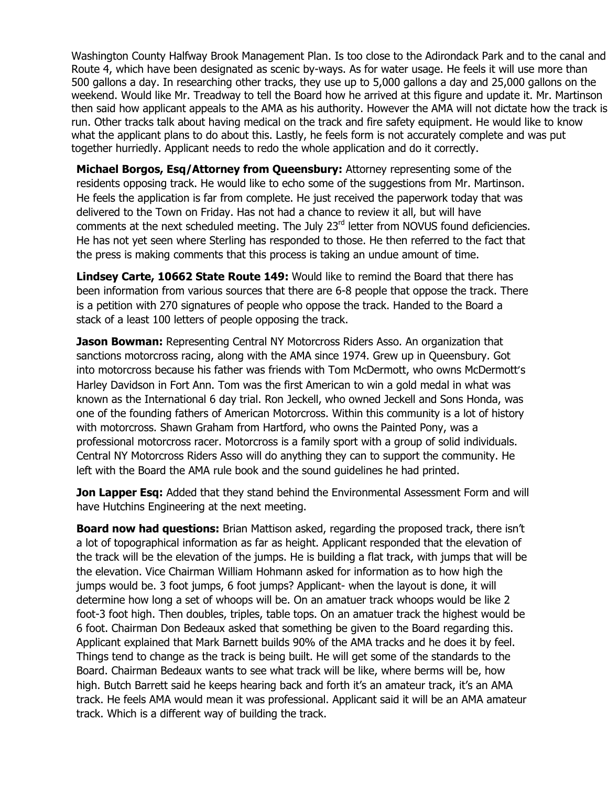Washington County Halfway Brook Management Plan. Is too close to the Adirondack Park and to the canal and Route 4, which have been designated as scenic by-ways. As for water usage. He feels it will use more than 500 gallons a day. In researching other tracks, they use up to 5,000 gallons a day and 25,000 gallons on the weekend. Would like Mr. Treadway to tell the Board how he arrived at this figure and update it. Mr. Martinson then said how applicant appeals to the AMA as his authority. However the AMA will not dictate how the track is run. Other tracks talk about having medical on the track and fire safety equipment. He would like to know what the applicant plans to do about this. Lastly, he feels form is not accurately complete and was put together hurriedly. Applicant needs to redo the whole application and do it correctly.

**Michael Borgos, Esq/Attorney from Queensbury:** Attorney representing some of the residents opposing track. He would like to echo some of the suggestions from Mr. Martinson. He feels the application is far from complete. He just received the paperwork today that was delivered to the Town on Friday. Has not had a chance to review it all, but will have comments at the next scheduled meeting. The July 23<sup>rd</sup> letter from NOVUS found deficiencies. He has not yet seen where Sterling has responded to those. He then referred to the fact that the press is making comments that this process is taking an undue amount of time.

**Lindsey Carte, 10662 State Route 149:** Would like to remind the Board that there has been information from various sources that there are 6-8 people that oppose the track. There is a petition with 270 signatures of people who oppose the track. Handed to the Board a stack of a least 100 letters of people opposing the track.

**Jason Bowman:** Representing Central NY Motorcross Riders Asso. An organization that sanctions motorcross racing, along with the AMA since 1974. Grew up in Queensbury. Got into motorcross because his father was friends with Tom McDermott, who owns McDermott's Harley Davidson in Fort Ann. Tom was the first American to win a gold medal in what was known as the International 6 day trial. Ron Jeckell, who owned Jeckell and Sons Honda, was one of the founding fathers of American Motorcross. Within this community is a lot of history with motorcross. Shawn Graham from Hartford, who owns the Painted Pony, was a professional motorcross racer. Motorcross is a family sport with a group of solid individuals. Central NY Motorcross Riders Asso will do anything they can to support the community. He left with the Board the AMA rule book and the sound guidelines he had printed.

**Jon Lapper Esq:** Added that they stand behind the Environmental Assessment Form and will have Hutchins Engineering at the next meeting.

**Board now had questions:** Brian Mattison asked, regarding the proposed track, there isn't a lot of topographical information as far as height. Applicant responded that the elevation of the track will be the elevation of the jumps. He is building a flat track, with jumps that will be the elevation. Vice Chairman William Hohmann asked for information as to how high the jumps would be. 3 foot jumps, 6 foot jumps? Applicant- when the layout is done, it will determine how long a set of whoops will be. On an amatuer track whoops would be like 2 foot-3 foot high. Then doubles, triples, table tops. On an amatuer track the highest would be 6 foot. Chairman Don Bedeaux asked that something be given to the Board regarding this. Applicant explained that Mark Barnett builds 90% of the AMA tracks and he does it by feel. Things tend to change as the track is being built. He will get some of the standards to the Board. Chairman Bedeaux wants to see what track will be like, where berms will be, how high. Butch Barrett said he keeps hearing back and forth it's an amateur track, it's an AMA track. He feels AMA would mean it was professional. Applicant said it will be an AMA amateur track. Which is a different way of building the track.